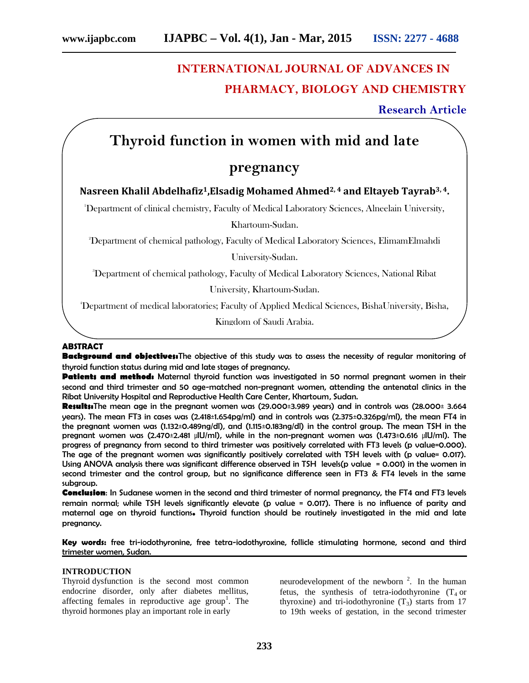# **INTERNATIONAL JOURNAL OF ADVANCES IN PHARMACY, BIOLOGY AND CHEMISTRY**

**Research Article**

## **Thyroid function in women with mid and late**

### **pregnancy**

#### **Nasreen Khalil Abdelhafiz1,Elsadig Mohamed Ahmed2, 4 and Eltayeb Tayrab3, 4.**

<sup>1</sup>Department of clinical chemistry, Faculty of Medical Laboratory Sciences, Alneelain University,

Khartoum-Sudan.

<sup>2</sup>Department of chemical pathology, Faculty of Medical Laboratory Sciences, ElimamElmahdi

University-Sudan.

<sup>3</sup>Department of chemical pathology, Faculty of Medical Laboratory Sciences, National Ribat

University, Khartoum-Sudan.

<sup>4</sup>Department of medical laboratories; Faculty of Applied Medical Sciences, BishaUniversity, Bisha,

Kingdom of Saudi Arabia.

#### **ABSTRACT**

**Background and objectives:**The objective of this study was to assess the necessity of regular monitoring of thyroid function status during mid and late stages of pregnancy.

Patients and method: Maternal thyroid function was investigated in 50 normal pregnant women in their second and third trimester and 50 age-matched non-pregnant women, attending the antenatal clinics in the Ribat University Hospital and Reproductive Health Care Center, Khartoum, Sudan.

**Results:**The mean age in the pregnant women was (29.000±3.989 years) and in controls was (28.000± 3.664 years). The mean FT3 in cases was (2.418±1.654pg/ml) and in controls was (2.375±0.326pg/ml), the mean FT4 in the pregnant women was (1.132±0.489ng/dl), and (1.115±0.183ng/dl) in the control group. The mean TSH in the pregnant women was (2.470±2.481 µIU/ml), while in the non-pregnant women was (1.473±0.616 µIU/ml). The progress of pregnancy from second to third trimester was positively correlated with FT3 levels (p value=0.000). The age of the pregnant women was significantly positively correlated with TSH levels with (p value= 0.017). Using ANOVA analysis there was significant difference observed in TSH levels(p value = 0.001) in the women in second trimester and the control group, but no significance difference seen in FT3 & FT4 levels in the same subgroup.

**Conclusion**: In Sudanese women in the second and third trimester of normal pregnancy, the FT4 and FT3 levels remain normal; while TSH levels significantly elevate (p value = 0.017). There is no influence of parity and maternal age on thyroid functions**.** Thyroid function should be routinely investigated in the mid and late pregnancy.

**Key words:** free tri-iodothyronine, free tetra-iodothyroxine, follicle stimulating hormone, second and third trimester women, Sudan.

#### **INTRODUCTION**

Thyroid dysfunction is the second most common endocrine disorder, only after diabetes mellitus, affecting females in reproductive age group<sup>1</sup>. The thyroid hormones play an important role in early

neurodevelopment of the newborn  $2$ . In the human fetus, the synthesis of tetra-iodothyronine  $(T_4$  or thyroxine) and tri-iodothyronine  $(T_3)$  starts from 17 to 19th weeks of gestation, in the second trimester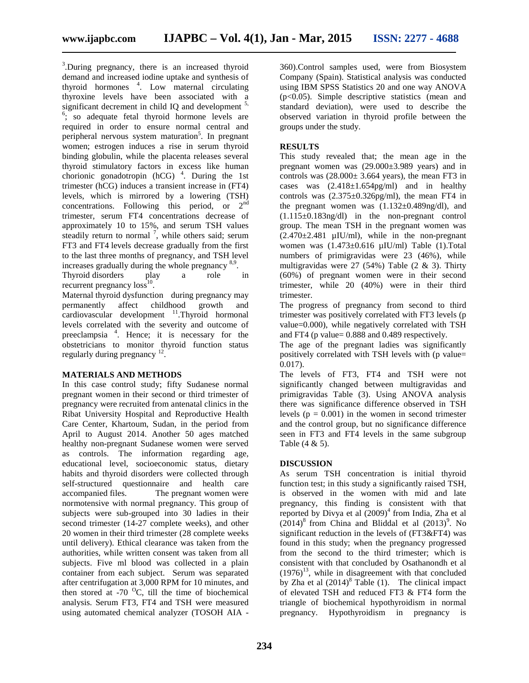<sup>3</sup>. During pregnancy, there is an increased thyroid demand and increased iodine uptake and synthesis of thyroid hormones <sup>4</sup> . Low maternal circulating thyroxine levels have been associated with a significant decrement in child IO and development  $5$ ,  $\frac{6}{1}$ ; so adequate fetal thyroid hormone levels are required in order to ensure normal central and peripheral nervous system maturation<sup>5</sup>. In pregnant women; estrogen induces a rise in serum thyroid binding globulin, while the placenta releases several thyroid stimulatory factors in excess like human chorionic gonadotropin  $(hCG)$ <sup>4</sup>. During the 1st trimester (hCG) induces a transient increase in (FT4) levels, which is mirrored by a lowering (TSH) concentrations. Following this period, or 2<sup>nd</sup> trimester, serum FT4 concentrations decrease of approximately 10 to 15%, and serum TSH values steadily return to normal  $^7$ , while others said; serum  $(2.47)$ FT3 and FT4 levels decrease gradually from the first to the last three months of pregnancy, and TSH level increases gradually during the whole pregnancy 8,9 .

Thyroid disorders play a role in recurrent pregnancy  $loss^{10}$ .

Maternal thyroid dysfunction during pregnancy may permanently affect childhood growth and  $cardiovascular$  development  $11$ . Thyroid hormonal levels correlated with the severity and outcome of preeclampsia <sup>4</sup> . Hence; it is necessary for the obstetricians to monitor thyroid function status regularly during pregnancy <sup>12</sup>.

#### **MATERIALS AND METHODS**

In this case control study; fifty Sudanese normal pregnant women in their second or third trimester of pregnancy were recruited from antenatal clinics in the Ribat University Hospital and Reproductive Health Care Center, Khartoum, Sudan, in the period from April to August 2014. Another 50 ages matched healthy non-pregnant Sudanese women were served as controls. The information regarding age, educational level, socioeconomic status, dietary habits and thyroid disorders were collected through self-structured questionnaire and health care accompanied files. The pregnant women were normotensive with normal pregnancy. This group of subjects were sub-grouped into 30 ladies in their second trimester (14-27 complete weeks), and other 20 women in their third trimester (28 complete weeks until delivery). Ethical clearance was taken from the authorities, while written consent was taken from all subjects. Five ml blood was collected in a plain container from each subject. Serum was separated after centrifugation at 3,000 RPM for 10 minutes, and then stored at -70  $^{0}C$ , till the time of biochemical analysis. Serum FT3, FT4 and TSH were measured using automated chemical analyzer (TOSOH AIA -

360).Control samples used, were from Biosystem Company (Spain). Statistical analysis was conducted using IBM SPSS Statistics 20 and one way ANOVA (p<0.05). Simple descriptive statistics (mean and standard deviation), were used to describe the observed variation in thyroid profile between the groups under the study.

#### **RESULTS**

This study revealed that; the mean age in the pregnant women was (29.000±3.989 years) and in controls was  $(28.000 \pm 3.664 \text{ years})$ , the mean FT3 in cases was  $(2.418 \pm 1.654 \text{pg/ml})$  and in healthy controls was  $(2.375\pm0.326\text{pg/ml})$ , the mean FT4 in the pregnant women was  $(1.132 \pm 0.489)$ ng/dl), and (1.115±0.183ng/dl) in the non-pregnant control group. The mean TSH in the pregnant women was  $(2.470 \pm 2.481 \mu\text{IU/ml})$ , while in the non-pregnant women was  $(1.473\pm0.616 \text{ µIU/ml})$  Table  $(1)$ . Total numbers of primigravidas were 23 (46%), while multigravidas were 27 (54%) Table (2 & 3). Thirty (60%) of pregnant women were in their second trimester, while 20 (40%) were in their third trimester.

The progress of pregnancy from second to third trimester was positively correlated with FT3 levels (p value=0.000), while negatively correlated with TSH and FT4 (p value= 0.888 and 0.489 respectively.

The age of the pregnant ladies was significantly positively correlated with TSH levels with (p value= 0.017).

The levels of FT3, FT4 and TSH were not significantly changed between multigravidas and primigravidas Table (3). Using ANOVA analysis there was significance difference observed in TSH levels ( $p = 0.001$ ) in the women in second trimester and the control group, but no significance difference seen in FT3 and FT4 levels in the same subgroup Table (4 & 5).

#### **DISCUSSION**

As serum TSH concentration is initial thyroid function test; in this study a significantly raised TSH, is observed in the women with mid and late pregnancy, this finding is consistent with that reported by Divya et al  $(2009)^4$  from India, Zha et al  $(2014)^8$  from China and Bliddal et al  $(2013)^9$ . No significant reduction in the levels of (FT3&FT4) was found in this study; when the pregnancy progressed from the second to the third trimester; which is consistent with that concluded by Osathanondh et al  $(1976)^{13}$ , while in disagreement with that concluded by Zha et al  $(2014)^8$  Table (1). The clinical impact of elevated TSH and reduced FT3 & FT4 form the triangle of biochemical hypothyroidism in normal pregnancy. Hypothyroidism in pregnancy is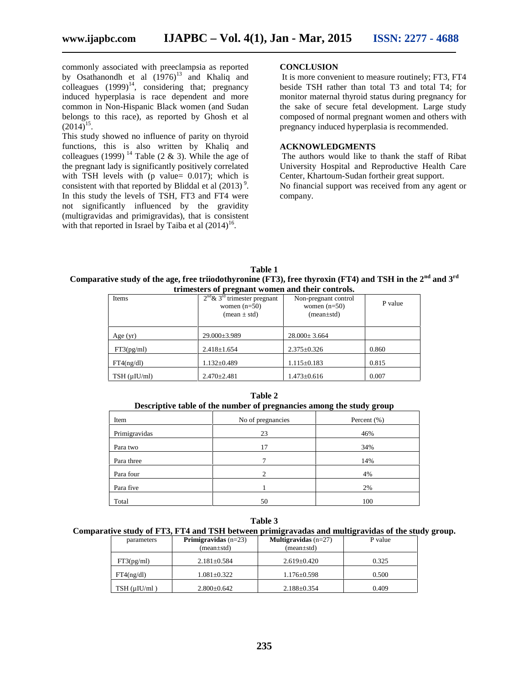commonly associated with preeclampsia as reported by Osathanondh et al  $(1976)^{13}$  and Khaliq and colleagues  $(1999)^{14}$ , considering that; pregnancy induced hyperplasia is race dependent and more common in Non-Hispanic Black women (and Sudan belongs to this race), as reported by Ghosh et al  $(2014)^{15}$ .

This study showed no influence of parity on thyroid functions, this is also written by Khaliq and colleagues (1999)<sup>14</sup> Table (2 & 3). While the age of the pregnant lady is significantly positively correlated with TSH levels with (p value= 0.017); which is consistent with that reported by Bliddal et al  $(2013)^9$ . In this study the levels of TSH, FT3 and FT4 were not significantly influenced by the gravidity (multigravidas and primigravidas), that is consistent with that reported in Israel by Taiba et al  $(2014)^{16}$ .

#### **CONCLUSION**

It is more convenient to measure routinely; FT3, FT4 beside TSH rather than total T3 and total T4; for monitor maternal thyroid status during pregnancy for the sake of secure fetal development. Large study composed of normal pregnant women and others with pregnancy induced hyperplasia is recommended.

#### **ACKNOWLEDGMENTS**

The authors would like to thank the staff of Ribat University Hospital and Reproductive Health Care Center, Khartoum-Sudan fortheir great support. No financial support was received from any agent or company.

**Table 1 Comparative study of the age, free triiodothyronine (FT3), free thyroxin (FT4) and TSH in the 2nd and 3rd trimesters of pregnant women and their controls.**

| u iniestels of pregnant women and their controls. |                                                                      |                                                            |         |  |  |
|---------------------------------------------------|----------------------------------------------------------------------|------------------------------------------------------------|---------|--|--|
| Items                                             | $2nd \& 3rd$ trimester pregnant<br>women $(n=50)$<br>$mean \pm std)$ | Non-pregnant control<br>women $(n=50)$<br>$(mean \pm std)$ | P value |  |  |
| Age $(yr)$                                        | 29.000±3.989                                                         | $28.000 \pm 3.664$                                         |         |  |  |
| FT3(pg/ml)                                        | $2.418 \pm 1.654$                                                    | $2.375 \pm 0.326$                                          | 0.860   |  |  |
| FT4(ng/dl)                                        | 1.132±0.489                                                          | $1.115 \pm 0.183$                                          | 0.815   |  |  |
| $TSH$ ( $\mu$ IU/ml)                              | $2.470 \pm 2.481$                                                    | $1.473 \pm 0.616$                                          | 0.007   |  |  |

| Descriptive table of the number of pregnancies among the study group |                   |                 |  |  |
|----------------------------------------------------------------------|-------------------|-----------------|--|--|
| Item                                                                 | No of pregnancies | Percent $(\% )$ |  |  |
| Primigravidas                                                        | 23                | 46%             |  |  |
| Para two                                                             | 17                | 34%             |  |  |
| Para three                                                           |                   | 14%             |  |  |
| Para four                                                            | 2                 | 4%              |  |  |
| Para five                                                            |                   | 2%              |  |  |
| Total                                                                | 50                | 100             |  |  |

**Table 2**

**Table 3**

#### **Comparative study of FT3, FT4 and TSH between primigravadas and multigravidas of the study group.**

| parameters           | <b>Primigravidas</b> $(n=23)$<br>(mean±std) | <b>Multigravidas</b> $(n=27)$ | P value |
|----------------------|---------------------------------------------|-------------------------------|---------|
|                      |                                             | $(mean \pm std)$              |         |
| FT3(pg/ml)           | $2.181 \pm 0.584$                           | $2.619 \pm 0.420$             | 0.325   |
| FT4(ng/dl)           | $1.081 \pm 0.322$                           | $1.176 \pm 0.598$             | 0.500   |
| $TSH$ ( $\mu$ IU/ml) | $2.800 \pm 0.642$                           | $2.188 \pm 0.354$             | 0.409   |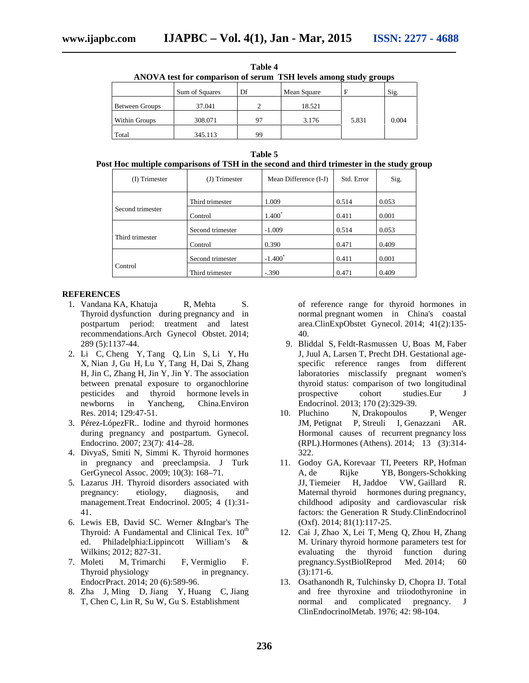|                                                                  | Table 4 |  |  |  |  |
|------------------------------------------------------------------|---------|--|--|--|--|
| ANOVA test for comparison of serum TSH levels among study groups |         |  |  |  |  |

|                       | Sum of Squares | Df | Mean Square |       | Sig.  |
|-----------------------|----------------|----|-------------|-------|-------|
| <b>Between Groups</b> | 37.041         |    | 18.521      |       |       |
| Within Groups         | 308.071        | 97 | 3.176       | 5.831 | 0.004 |
| Total                 | 345.113        | 99 |             |       |       |

**Table 5 Post Hoc multiple comparisons of TSH in the second and third trimester in the study group**

| (I) Trimester    | (J) Trimester    | Mean Difference (I-J) | Std. Error | Sig.  |
|------------------|------------------|-----------------------|------------|-------|
|                  | Third trimester  | 1.009                 | 0.514      | 0.053 |
| Second trimester | Control          | $1.400*$              | 0.411      | 0.001 |
|                  | Second trimester | $-1.009$              | 0.514      | 0.053 |
| Third trimester  | Control          | 0.390                 | 0.471      | 0.409 |
|                  | Second trimester | $-1.400*$             | 0.411      | 0.001 |
| Control          | Third trimester  | $-.390$               | 0.471      | 0.409 |

#### **REFERENCES**

- 1. Vandana KA, Khatuja R, Mehta S. Thyroid dysfunction during pregnancy and in postpartum period: treatment and latest recommendations.Arch Gynecol Obstet. 2014; 289 (5):1137-44.
- 2. Li C, Cheng Y, Tang Q, Lin S, Li Y, Hu X, Nian J, Gu H, Lu Y, Tang H, Dai S, Zhang H, Jin C, Zhang H, Jin Y, Jin Y. The association between prenatal exposure to organochlorine pesticides and thyroid hormone levels in newborns in Yancheng, China.Environ Res. 2014; 129:47-51.
- 3. Pérez-LópezFR.. Iodine and thyroid hormones during pregnancy and postpartum. Gynecol. Endocrino. 2007; 23(7): 414–28.
- 4. DivyaS, Smiti N, Simmi K. Thyroid hormones in pregnancy and preeclampsia. J Turk GerGynecol Assoc. 2009; 10(3): 168–71.
- 5. Lazarus JH. Thyroid disorders associated with pregnancy: etiology, diagnosis, and management.Treat Endocrinol. 2005; 4 (1):31- 41.
- 6. Lewis EB, David SC. Werner &Ingbar's The Thyroid: A Fundamental and Clinical Tex.  $10^{th}$ ed. Philadelphia:Lippincott William's & Wilkins; 2012; 827-31.
- 7. Moleti M, Trimarchi F, Vermiglio F. Thyroid physiology in pregnancy. EndocrPract. 2014; 20 (6):589-96.
- 8. Zha J, Ming D, Jiang Y, Huang C, Jiang T, Chen C, Lin R, Su W, Gu S. Establishment

of reference range for thyroid hormones in normal pregnant women in China's coastal area.ClinExpObstet Gynecol. 2014; 41(2):135- 40.

- 9. Bliddal S, Feldt-Rasmussen U, Boas M, Faber J, Juul A, Larsen T, Precht DH. Gestational age specific reference ranges from different laboratories misclassify pregnant women's thyroid status: comparison of two longitudinal prospective cohort studies.Eur J Endocrinol. 2013; 170 (2):329-39.
- 10. Pluchino N, Drakopoulos P, Wenger JM, Petignat P, Streuli I, Genazzani AR. Hormonal causes of recurrent pregnancy loss (RPL).Hormones (Athens). 2014; 13 (3):314- 322.
- 11. Godoy GA, Korevaar TI, Peeters RP, Hofman A, de Rijke YB, Bongers-Schokking JJ, Tiemeier H, Jaddoe VW, Gaillard R. Maternal thyroid hormones during pregnancy, childhood adiposity and cardiovascular risk factors: the Generation R Study.ClinEndocrinol (Oxf). 2014; 81(1):117-25.
- 12. Cai J, Zhao X, Lei T, Meng Q, Zhou H, Zhang M. Urinary thyroid hormone parameters test for evaluating the thyroid function during pregnancy.SystBiolReprod Med. 2014; 60 (3):171-6.
- 13. Osathanondh R, Tulchinsky D, Chopra IJ. Total and free thyroxine and triiodothyronine in normal and complicated pregnancy. J ClinEndocrinolMetab. 1976; 42: 98-104.